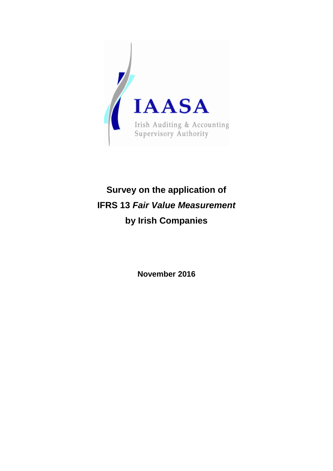

# **Survey on the application of IFRS 13** *Fair Value Measurement* **by Irish Companies**

**November 2016**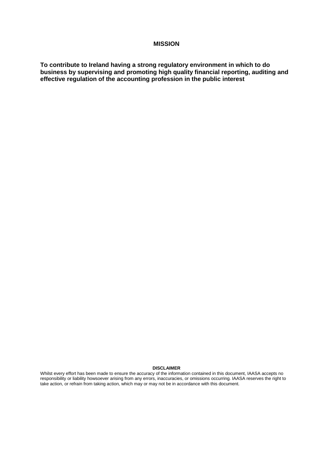### **MISSION**

**To contribute to Ireland having a strong regulatory environment in which to do business by supervising and promoting high quality financial reporting, auditing and effective regulation of the accounting profession in the public interest** 

#### **DISCLAIMER**

Whilst every effort has been made to ensure the accuracy of the information contained in this document, IAASA accepts no responsibility or liability howsoever arising from any errors, inaccuracies, or omissions occurring. IAASA reserves the right to take action, or refrain from taking action, which may or may not be in accordance with this document.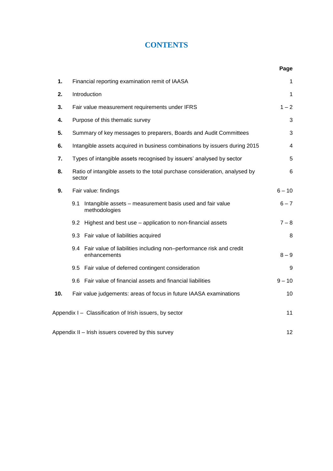### **CONTENTS**

|     |                                                                                         | Page                     |
|-----|-----------------------------------------------------------------------------------------|--------------------------|
| 1.  | Financial reporting examination remit of IAASA                                          | 1                        |
| 2.  | Introduction                                                                            | $\mathbf 1$              |
| 3.  | Fair value measurement requirements under IFRS                                          | $1 - 2$                  |
| 4.  | Purpose of this thematic survey                                                         | 3                        |
| 5.  | Summary of key messages to preparers, Boards and Audit Committees                       | 3                        |
| 6.  | Intangible assets acquired in business combinations by issuers during 2015              | $\overline{\mathcal{A}}$ |
| 7.  | Types of intangible assets recognised by issuers' analysed by sector                    | 5                        |
| 8.  | Ratio of intangible assets to the total purchase consideration, analysed by<br>sector   | 6                        |
| 9.  | Fair value: findings                                                                    | $6 - 10$                 |
|     | 9.1<br>Intangible assets - measurement basis used and fair value<br>methodologies       | $6 - 7$                  |
|     | 9.2 Highest and best use - application to non-financial assets                          | $7 - 8$                  |
|     | 9.3 Fair value of liabilities acquired                                                  | 8                        |
|     | 9.4 Fair value of liabilities including non-performance risk and credit<br>enhancements | $8 - 9$                  |
|     | 9.5 Fair value of deferred contingent consideration                                     | 9                        |
|     | 9.6 Fair value of financial assets and financial liabilities                            | $9 - 10$                 |
| 10. | Fair value judgements: areas of focus in future IAASA examinations                      | 10                       |
|     | Appendix I - Classification of Irish issuers, by sector                                 | 11                       |
|     | Appendix II - Irish issuers covered by this survey                                      | 12                       |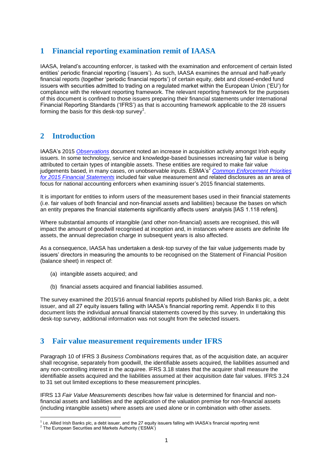### **1 Financial reporting examination remit of IAASA**

IAASA, Ireland's accounting enforcer, is tasked with the examination and enforcement of certain listed entities' periodic financial reporting ('issuers'). As such, IAASA examines the annual and half-yearly financial reports (together 'periodic financial reports') of certain equity, debt and closed-ended fund issuers with securities admitted to trading on a regulated market within the European Union ('EU') for compliance with the relevant reporting framework. The relevant reporting framework for the purposes of this document is confined to those issuers preparing their financial statements under International Financial Reporting Standards ('IFRS') as that is accounting framework applicable to the 28 issuers forming the basis for this desk-top survey<sup>1</sup>.

### **2 Introduction**

IAASA's 2015 *[Observations](http://www.iaasa.ie/getmedia/e4944b73-04f8-4ed2-8b64-4d2e06b2c185/obsdoc2015.pdf?ext=.pdf)* document noted an increase in acquisition activity amongst Irish equity issuers. In some technology, service and knowledge-based businesses increasing fair value is being attributed to certain types of intangible assets. These entities are required to make fair value judgements based, in many cases, on unobservable inputs. ESMA's<sup>2</sup> Common Enforcement Priorities *[for 2015 Financial Statements](http://www.a-tvp.si/Documents/2015_1608_esma_public_statement_-_ecep_2015.pdf)* included fair value measurement and related disclosures as an area of focus for national accounting enforcers when examining issuer's 2015 financial statements.

It is important for entities to inform users of the measurement bases used in their financial statements (i.e. fair values of both financial and non-financial assets and liabilities) because the bases on which an entity prepares the financial statements significantly affects users' analysis [IAS 1.118 refers].

Where substantial amounts of intangible (and other non-financial) assets are recognised, this will impact the amount of goodwill recognised at inception and, in instances where assets are definite life assets, the annual depreciation charge in subsequent years is also affected.

As a consequence, IAASA has undertaken a desk-top survey of the fair value judgements made by issuers' directors in measuring the amounts to be recognised on the Statement of Financial Position (balance sheet) in respect of:

- (a) intangible assets acquired; and
- (b) financial assets acquired and financial liabilities assumed.

The survey examined the 2015/16 annual financial reports published by Allied Irish Banks plc, a debt issuer, and all 27 equity issuers falling with IAASA's financial reporting remit. Appendix II to this document lists the individual annual financial statements covered by this survey. In undertaking this desk-top survey, additional information was not sought from the selected issuers.

### **3 Fair value measurement requirements under IFRS**

Paragraph 10 of IFRS 3 *Business Combinations* requires that, as of the acquisition date, an acquirer shall recognise, separately from goodwill, the identifiable assets acquired, the liabilities assumed and any non-controlling interest in the acquiree. IFRS 3.18 states that the acquirer shall measure the identifiable assets acquired and the liabilities assumed at their acquisition date fair values. IFRS 3.24 to 31 set out limited exceptions to these measurement principles.

IFRS 13 *Fair Value Measurements* describes how fair value is determined for financial and nonfinancial assets and liabilities and the application of the valuation premise for non-financial assets (including intangible assets) where assets are used alone or in combination with other assets.

1

<sup>&</sup>lt;sup>1</sup> i.e. Allied Irish Banks plc, a debt issuer, and the 27 equity issuers falling with IAASA's financial reporting remit

 $2$  The European Securities and Markets Authority ('ESMA')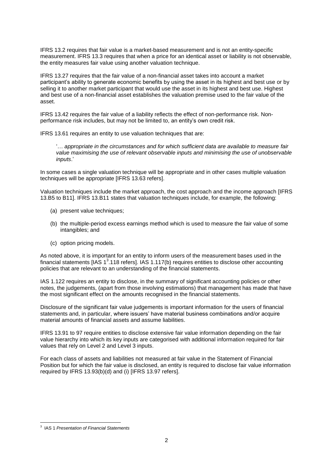IFRS 13.2 requires that fair value is a market-based measurement and is not an entity-specific measurement. IFRS 13.3 requires that when a price for an identical asset or liability is not observable, the entity measures fair value using another valuation technique.

IFRS 13.27 requires that the fair value of a non-financial asset takes into account a market participant's ability to generate economic benefits by using the asset in its highest and best use or by selling it to another market participant that would use the asset in its highest and best use. Highest and best use of a non-financial asset establishes the valuation premise used to the fair value of the asset.

IFRS 13.42 requires the fair value of a liability reflects the effect of non-performance risk. Nonperformance risk includes, but may not be limited to, an entity's own credit risk.

IFRS 13.61 requires an entity to use valuation techniques that are:

'… *appropriate in the circumstances and for which sufficient data are available to measure fair value maximising the use of relevant observable inputs and minimising the use of unobservable inputs*.'

In some cases a single valuation technique will be appropriate and in other cases multiple valuation techniques will be appropriate [IFRS 13.63 refers].

Valuation techniques include the market approach, the cost approach and the income approach [IFRS 13.B5 to B11]. IFRS 13.B11 states that valuation techniques include, for example, the following:

- (a) present value techniques;
- (b) the multiple-period excess earnings method which is used to measure the fair value of some intangibles; and
- (c) option pricing models.

As noted above, it is important for an entity to inform users of the measurement bases used in the financial statements [IAS 1<sup>3</sup>.118 refers]. IAS 1.117(b) requires entities to disclose other accounting policies that are relevant to an understanding of the financial statements.

IAS 1.122 requires an entity to disclose, in the summary of significant accounting policies or other notes, the judgements, (apart from those involving estimations) that management has made that have the most significant effect on the amounts recognised in the financial statements.

Disclosure of the significant fair value judgements is important information for the users of financial statements and, in particular, where issuers' have material business combinations and/or acquire material amounts of financial assets and assume liabilities.

IFRS 13.91 to 97 require entities to disclose extensive fair value information depending on the fair value hierarchy into which its key inputs are categorised with additional information required for fair values that rely on Level 2 and Level 3 inputs.

For each class of assets and liabilities not measured at fair value in the Statement of Financial Position but for which the fair value is disclosed, an entity is required to disclose fair value information required by IFRS 13.93(b)(d) and (i) [IFRS 13.97 refers].

 3 IAS 1 *Presentation of Financial Statements*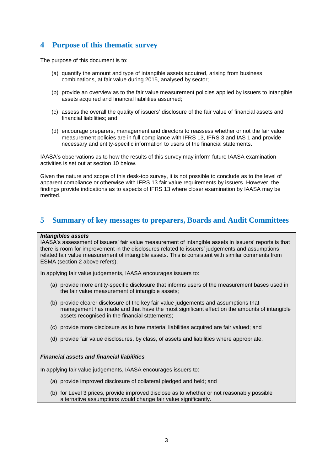### **4 Purpose of this thematic survey**

The purpose of this document is to:

- (a) quantify the amount and type of intangible assets acquired, arising from business combinations, at fair value during 2015, analysed by sector;
- (b) provide an overview as to the fair value measurement policies applied by issuers to intangible assets acquired and financial liabilities assumed;
- (c) assess the overall the quality of issuers' disclosure of the fair value of financial assets and financial liabilities; and
- (d) encourage preparers, management and directors to reassess whether or not the fair value measurement policies are in full compliance with IFRS 13, IFRS 3 and IAS 1 and provide necessary and entity-specific information to users of the financial statements.

IAASA's observations as to how the results of this survey may inform future IAASA examination activities is set out at section 10 below.

Given the nature and scope of this desk-top survey, it is not possible to conclude as to the level of apparent compliance or otherwise with IFRS 13 fair value requirements by issuers. However, the findings provide indications as to aspects of IFRS 13 where closer examination by IAASA may be merited.

### **5 Summary of key messages to preparers, Boards and Audit Committees**

#### *Intangibles assets*

IAASA's assessment of issuers' fair value measurement of intangible assets in issuers' reports is that there is room for improvement in the disclosures related to issuers' judgements and assumptions related fair value measurement of intangible assets. This is consistent with similar comments from ESMA (section 2 above refers).

In applying fair value judgements, IAASA encourages issuers to:

- (a) provide more entity-specific disclosure that informs users of the measurement bases used in the fair value measurement of intangible assets;
- (b) provide clearer disclosure of the key fair value judgements and assumptions that management has made and that have the most significant effect on the amounts of intangible assets recognised in the financial statements;
- (c) provide more disclosure as to how material liabilities acquired are fair valued; and
- (d) provide fair value disclosures, by class, of assets and liabilities where appropriate.

#### *Financial assets and financial liabilities*

In applying fair value judgements, IAASA encourages issuers to:

- (a) provide improved disclosure of collateral pledged and held; and
- (b) for Level 3 prices, provide improved disclose as to whether or not reasonably possible alternative assumptions would change fair value significantly.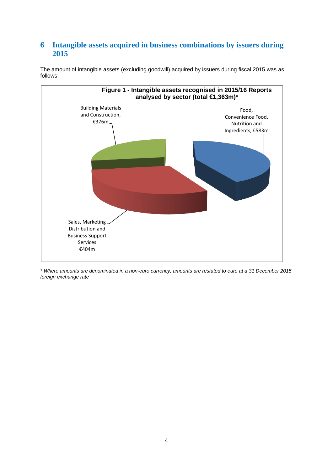### **6 Intangible assets acquired in business combinations by issuers during 2015**

The amount of intangible assets (excluding goodwill) acquired by issuers during fiscal 2015 was as follows:



*\* Where amounts are denominated in a non-euro currency, amounts are restated to euro at a 31 December 2015 foreign exchange rate*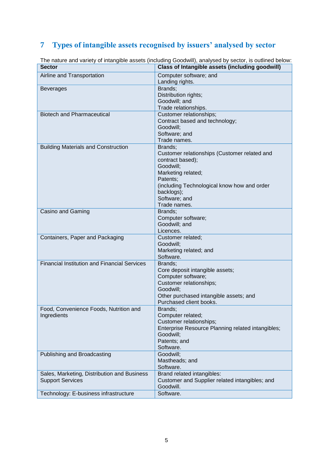## **7 Types of intangible assets recognised by issuers' analysed by sector**

| <b>Sector</b>                                                          | Class of Intangible assets (including goodwill)                                                                                                                                                                          |
|------------------------------------------------------------------------|--------------------------------------------------------------------------------------------------------------------------------------------------------------------------------------------------------------------------|
| Airline and Transportation                                             | Computer software; and<br>Landing rights.                                                                                                                                                                                |
| <b>Beverages</b>                                                       | Brands;<br>Distribution rights;<br>Goodwill; and<br>Trade relationships.                                                                                                                                                 |
| <b>Biotech and Pharmaceutical</b>                                      | Customer relationships;<br>Contract based and technology;<br>Goodwill:<br>Software; and<br>Trade names.                                                                                                                  |
| <b>Building Materials and Construction</b>                             | Brands;<br>Customer relationships (Customer related and<br>contract based);<br>Goodwill;<br>Marketing related;<br>Patents;<br>(including Technological know how and order<br>backlogs);<br>Software; and<br>Trade names. |
| Casino and Gaming                                                      | Brands;<br>Computer software;<br>Goodwill; and<br>Licences.                                                                                                                                                              |
| Containers, Paper and Packaging                                        | Customer related;<br>Goodwill;<br>Marketing related; and<br>Software.                                                                                                                                                    |
| <b>Financial Institution and Financial Services</b>                    | Brands;<br>Core deposit intangible assets;<br>Computer software;<br>Customer relationships;<br>Goodwill;<br>Other purchased intangible assets; and<br>Purchased client books.                                            |
| Food, Convenience Foods, Nutrition and<br>Ingredients                  | Brands;<br>Computer related;<br>Customer relationships;<br>Enterprise Resource Planning related intangibles;<br>Goodwill;<br>Patents; and<br>Software.                                                                   |
| Publishing and Broadcasting                                            | Goodwill;<br>Mastheads; and<br>Software.                                                                                                                                                                                 |
| Sales, Marketing, Distribution and Business<br><b>Support Services</b> | Brand related intangibles:<br>Customer and Supplier related intangibles; and<br>Goodwill.                                                                                                                                |
| Technology: E-business infrastructure                                  | Software.                                                                                                                                                                                                                |

The nature and variety of intangible assets (including Goodwill), analysed by sector, is outlined below: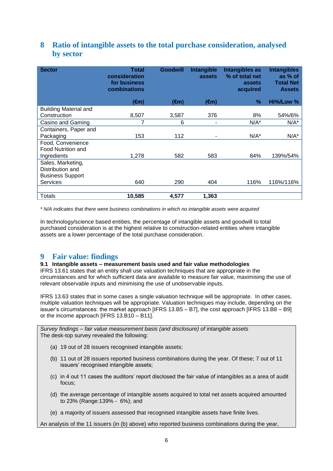### **8 Ratio of intangible assets to the total purchase consideration, analysed by sector**

| <b>Sector</b>                                                    | <b>Total</b><br>consideration<br>for business<br>combinations | <b>Goodwill</b> | <b>Intangible</b><br>assets | Intangibles as<br>% of total net<br>assets<br>acquired | <b>Intangibles</b><br>as % of<br><b>Total Net</b><br><b>Assets</b> |
|------------------------------------------------------------------|---------------------------------------------------------------|-----------------|-----------------------------|--------------------------------------------------------|--------------------------------------------------------------------|
|                                                                  | $(\epsilon m)$                                                | (€m)            | $(\epsilon m)$              | $\%$                                                   | Hi%/Low %                                                          |
| <b>Building Material and</b><br>Construction                     | 8,507                                                         | 3.587           | 376                         | 8%                                                     | 54%/6%                                                             |
| Casino and Gaming                                                | 7                                                             | 6               | -                           | $N/A^*$                                                | $N/A^*$                                                            |
| Containers, Paper and<br>Packaging<br>Food, Convenience          | 153                                                           | 112             | $\blacksquare$              | $N/A^*$                                                | $N/A^*$                                                            |
| Food Nutrition and<br>Ingredients                                | 1,278                                                         | 582             | 583                         | 84%                                                    | 139%/54%                                                           |
| Sales, Marketing,<br>Distribution and<br><b>Business Support</b> |                                                               |                 |                             |                                                        |                                                                    |
| <b>Services</b>                                                  | 640                                                           | 290             | 404                         | 116%                                                   | 116%/116%                                                          |
|                                                                  |                                                               |                 |                             |                                                        |                                                                    |
| Totals                                                           | 10,585                                                        | 4,577           | 1,363                       |                                                        |                                                                    |

*\* N/A indicates that there were business combinations in which no intangible assets were acquired*

In technology/science based entities, the percentage of intangible assets and goodwill to total purchased consideration is at the highest relative to construction-related entities where intangible assets are a lower percentage of the total purchase consideration.

### **9 Fair value: findings**

#### **9.1 Intangible assets – measurement basis used and fair value methodologies**

IFRS 13.61 states that an entity shall use valuation techniques that are appropriate in the circumstances and for which sufficient data are available to measure fair value, maximising the use of relevant observable inputs and minimising the use of unobservable inputs.

IFRS 13.63 states that in some cases a single valuation technique will be appropriate. In other cases, multiple valuation techniques will be appropriate. Valuation techniques may include, depending on the issuer's circumstances: the market approach [IFRS 13.B5 – B7], the cost approach [IFRS 13.B8 – B9] or the income approach [IFRS 13.B10 – B11].

*Survey findings – fair value measurement basis (and disclosure) of intangible assets* The desk-top survey revealed the following:

- (a) 19 out of 28 issuers recognised intangible assets;
- (b) 11 out of 28 issuers reported business combinations during the year. Of these; 7 out of 11 issuers' recognised intangible assets;
- (c) in 4 out 11 cases the auditors' report disclosed the fair value of intangibles as a area of audit focus;
- (d) the average percentage of intangible assets acquired to total net assets acquired amounted to 23% (Range:139% - 6%); and
- (e) a majority of issuers assessed that recognised intangible assets have finite lives.

An analysis of the 11 issuers (in (b) above) who reported business combinations during the year,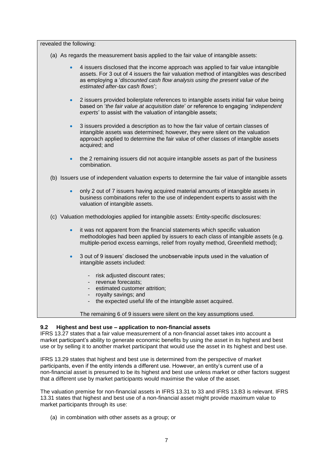| revealed the following:                                                                                                                                                                                                                                                                                     |  |  |  |  |
|-------------------------------------------------------------------------------------------------------------------------------------------------------------------------------------------------------------------------------------------------------------------------------------------------------------|--|--|--|--|
| (a) As regards the measurement basis applied to the fair value of intangible assets:                                                                                                                                                                                                                        |  |  |  |  |
| 4 issuers disclosed that the income approach was applied to fair value intangible<br>$\bullet$<br>assets. For 3 out of 4 issuers the fair valuation method of intangibles was described<br>as employing a 'discounted cash flow analysis using the present value of the<br>estimated after-tax cash flows'; |  |  |  |  |
| 2 issuers provided boilerplate references to intangible assets initial fair value being<br>$\bullet$<br>based on 'the fair value at acquisition date' or reference to engaging 'independent<br>experts' to assist with the valuation of intangible assets;                                                  |  |  |  |  |
| 3 issuers provided a description as to how the fair value of certain classes of<br>$\bullet$<br>intangible assets was determined; however, they were silent on the valuation<br>approach applied to determine the fair value of other classes of intangible assets<br>acquired; and                         |  |  |  |  |
| the 2 remaining issuers did not acquire intangible assets as part of the business<br>$\bullet$<br>combination.                                                                                                                                                                                              |  |  |  |  |
| (b) Issuers use of independent valuation experts to determine the fair value of intangible assets                                                                                                                                                                                                           |  |  |  |  |
| only 2 out of 7 issuers having acquired material amounts of intangible assets in<br>$\bullet$<br>business combinations refer to the use of independent experts to assist with the<br>valuation of intangible assets.                                                                                        |  |  |  |  |
| (c) Valuation methodologies applied for intangible assets: Entity-specific disclosures:                                                                                                                                                                                                                     |  |  |  |  |
| it was not apparent from the financial statements which specific valuation<br>$\bullet$<br>methodologies had been applied by issuers to each class of intangible assets (e.g.<br>multiple-period excess earnings, relief from royalty method, Greenfield method);                                           |  |  |  |  |
| 3 out of 9 issuers' disclosed the unobservable inputs used in the valuation of<br>$\bullet$<br>intangible assets included:                                                                                                                                                                                  |  |  |  |  |
| risk adjusted discount rates;<br>revenue forecasts;<br>estimated customer attrition;<br>$\sim$<br>royalty savings; and<br>the expected useful life of the intangible asset acquired.                                                                                                                        |  |  |  |  |
| The remaining 6 of 9 issuers were silent on the key assumptions used.                                                                                                                                                                                                                                       |  |  |  |  |

#### **9.2 Highest and best use – application to non-financial assets**

IFRS 13.27 states that a fair value measurement of a non-financial asset takes into account a market participant's ability to generate economic benefits by using the asset in its highest and best use or by selling it to another market participant that would use the asset in its highest and best use.

IFRS 13.29 states that highest and best use is determined from the perspective of market participants, even if the entity intends a different use. However, an entity's current use of a non-financial asset is presumed to be its highest and best use unless market or other factors suggest that a different use by market participants would maximise the value of the asset.

The valuation premise for non-financial assets in IFRS 13.31 to 33 and IFRS 13.B3 is relevant. IFRS 13.31 states that highest and best use of a non-financial asset might provide maximum value to market participants through its use:

(a) in combination with other assets as a group; or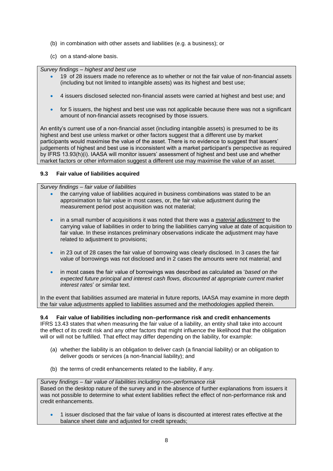- (b) in combination with other assets and liabilities (e.g. a business); or
- (c) on a stand-alone basis.

*Survey findings – highest and best use* 

- 19 of 28 issuers made no reference as to whether or not the fair value of non-financial assets (including but not limited to intangible assets) was its highest and best use;
- 4 issuers disclosed selected non-financial assets were carried at highest and best use; and
- for 5 issuers, the highest and best use was not applicable because there was not a significant amount of non-financial assets recognised by those issuers.

An entity's current use of a non-financial asset (including intangible assets) is presumed to be its highest and best use unless market or other factors suggest that a different use by market participants would maximise the value of the asset. There is no evidence to suggest that issuers' judgements of highest and best use is inconsistent with a market participant's perspective as required by IFRS 13.93(h)(i). IAASA will monitor issuers' assessment of highest and best use and whether market factors or other information suggest a different use may maximise the value of an asset.

#### **9.3 Fair value of liabilities acquired**

#### *Survey findings – fair value of liabilities*

- the carrying value of liabilities acquired in business combinations was stated to be an approximation to fair value in most cases, or, the fair value adjustment during the measurement period post acquisition was not material;
- in a small number of acquisitions it was noted that there was a *material adjustment* to the carrying value of liabilities in order to bring the liabilities carrying value at date of acquisition to fair value. In these instances preliminary observations indicate the adjustment may have related to adjustment to provisions;
- in 23 out of 28 cases the fair value of borrowing was clearly disclosed. In 3 cases the fair value of borrowings was not disclosed and in 2 cases the amounts were not material; and
- in most cases the fair value of borrowings was described as calculated as '*based on the expected future principal and interest cash flows, discounted at appropriate current market interest rates*' or similar text.

In the event that liabilities assumed are material in future reports, IAASA may examine in more depth the fair value adjustments applied to liabilities assumed and the methodologies applied therein.

#### **9.4 Fair value of liabilities including non***–***performance risk and credit enhancements**

IFRS 13.43 states that when measuring the fair value of a liability, an entity shall take into account the effect of its credit risk and any other factors that might influence the likelihood that the obligation will or will not be fulfilled. That effect may differ depending on the liability, for example:

- (a) whether the liability is an obligation to deliver cash (a financial liability) or an obligation to deliver goods or services (a non-financial liability); and
- (b) the terms of credit enhancements related to the liability, if any.

*Survey findings – fair value of liabilities including non–performance risk* Based on the desktop nature of the survey and in the absence of further explanations from issuers it was not possible to determine to what extent liabilities reflect the effect of non-performance risk and credit enhancements.

 1 issuer disclosed that the fair value of loans is discounted at interest rates effective at the balance sheet date and adjusted for credit spreads;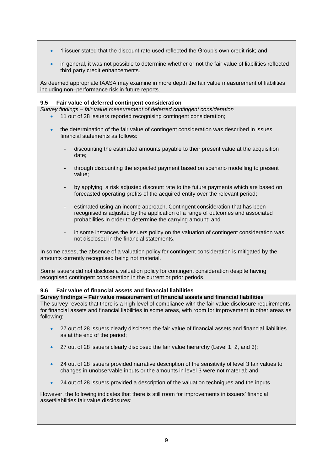- 1 issuer stated that the discount rate used reflected the Group's own credit risk; and
- in general, it was not possible to determine whether or not the fair value of liabilities reflected third party credit enhancements.

As deemed appropriate IAASA may examine in more depth the fair value measurement of liabilities including non*–*performance risk in future reports.

#### **9.5 Fair value of deferred contingent consideration**

*Survey findings – fair value measurement of deferred contingent consideration* 

- 11 out of 28 issuers reported recognising contingent consideration;
- the determination of the fair value of contingent consideration was described in issues financial statements as follows:
	- discounting the estimated amounts payable to their present value at the acquisition date;
	- through discounting the expected payment based on scenario modelling to present value;
	- by applying a risk adjusted discount rate to the future payments which are based on forecasted operating profits of the acquired entity over the relevant period;
	- estimated using an income approach. Contingent consideration that has been recognised is adjusted by the application of a range of outcomes and associated probabilities in order to determine the carrying amount; and
	- in some instances the issuers policy on the valuation of contingent consideration was not disclosed in the financial statements.

In some cases, the absence of a valuation policy for contingent consideration is mitigated by the amounts currently recognised being not material.

Some issuers did not disclose a valuation policy for contingent consideration despite having recognised contingent consideration in the current or prior periods.

#### **9.6 Fair value of financial assets and financial liabilities**

**Survey findings – Fair value measurement of financial assets and financial liabilities** The survey reveals that there is a high level of compliance with the fair value disclosure requirements for financial assets and financial liabilities in some areas, with room for improvement in other areas as following:

- 27 out of 28 issuers clearly disclosed the fair value of financial assets and financial liabilities as at the end of the period;
- 27 out of 28 issuers clearly disclosed the fair value hierarchy (Level 1, 2, and 3);
- 24 out of 28 issuers provided narrative description of the sensitivity of level 3 fair values to changes in unobservable inputs or the amounts in level 3 were not material; and
- 24 out of 28 issuers provided a description of the valuation techniques and the inputs.

However, the following indicates that there is still room for improvements in issuers' financial asset/liabilities fair value disclosures: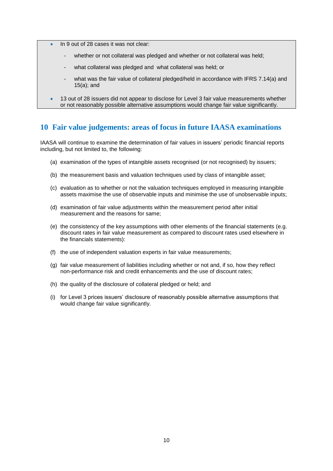- In 9 out of 28 cases it was not clear:
	- whether or not collateral was pledged and whether or not collateral was held;
	- what collateral was pledged and what collateral was held; or
	- what was the fair value of collateral pledged/held in accordance with IFRS 7.14(a) and 15(a); and
- 13 out of 28 issuers did not appear to disclose for Level 3 fair value measurements whether or not reasonably possible alternative assumptions would change fair value significantly.

### **10 Fair value judgements: areas of focus in future IAASA examinations**

IAASA will continue to examine the determination of fair values in issuers' periodic financial reports including, but not limited to, the following:

- (a) examination of the types of intangible assets recognised (or not recognised) by issuers;
- (b) the measurement basis and valuation techniques used by class of intangible asset;
- (c) evaluation as to whether or not the valuation techniques employed in measuring intangible assets maximise the use of observable inputs and minimise the use of unobservable inputs;
- (d) examination of fair value adjustments within the measurement period after initial measurement and the reasons for same;
- (e) the consistency of the key assumptions with other elements of the financial statements (e.g. discount rates in fair value measurement as compared to discount rates used elsewhere in the financials statements):
- (f) the use of independent valuation experts in fair value measurements;
- (g) fair value measurement of liabilities including whether or not and, if so, how they reflect non-performance risk and credit enhancements and the use of discount rates;
- (h) the quality of the disclosure of collateral pledged or held; and
- (i) for Level 3 prices issuers' disclosure of reasonably possible alternative assumptions that would change fair value significantly.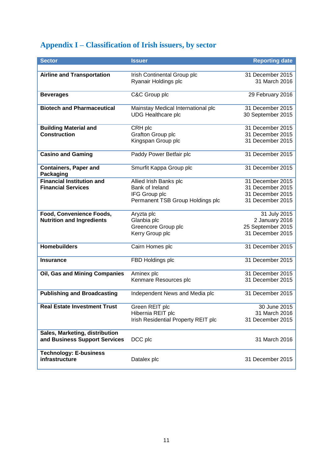# **Appendix I – Classification of Irish issuers, by sector**

| <b>Sector</b>                                                   | <b>Issuer</b>                                                                                  | <b>Reporting date</b>                                                        |
|-----------------------------------------------------------------|------------------------------------------------------------------------------------------------|------------------------------------------------------------------------------|
|                                                                 |                                                                                                |                                                                              |
| <b>Airline and Transportation</b>                               | Irish Continental Group plc<br>Ryanair Holdings plc                                            | 31 December 2015<br>31 March 2016                                            |
| <b>Beverages</b>                                                | C&C Group plc                                                                                  | 29 February 2016                                                             |
| <b>Biotech and Pharmaceutical</b>                               | Mainstay Medical International plc<br><b>UDG Healthcare plc</b>                                | 31 December 2015<br>30 September 2015                                        |
| <b>Building Material and</b><br><b>Construction</b>             | CRH plc<br>Grafton Group plc<br>Kingspan Group plc                                             | 31 December 2015<br>31 December 2015<br>31 December 2015                     |
| <b>Casino and Gaming</b>                                        | Paddy Power Betfair plc                                                                        | 31 December 2015                                                             |
| <b>Containers, Paper and</b><br>Packaging                       | Smurfit Kappa Group plc                                                                        | 31 December 2015                                                             |
| <b>Financial Institution and</b><br><b>Financial Services</b>   | Allied Irish Banks plc<br>Bank of Ireland<br>IFG Group plc<br>Permanent TSB Group Holdings plc | 31 December 2015<br>31 December 2015<br>31 December 2015<br>31 December 2015 |
| Food, Convenience Foods,<br><b>Nutrition and Ingredients</b>    | Aryzta plc<br>Glanbia plc<br>Greencore Group plc<br>Kerry Group plc                            | 31 July 2015<br>2 January 2016<br>25 September 2015<br>31 December 2015      |
| <b>Homebuilders</b>                                             | Cairn Homes plc                                                                                | 31 December 2015                                                             |
| <b>Insurance</b>                                                | FBD Holdings plc                                                                               | 31 December 2015                                                             |
| Oil, Gas and Mining Companies                                   | Aminex plc<br>Kenmare Resources plc                                                            | 31 December 2015<br>31 December 2015                                         |
| <b>Publishing and Broadcasting</b>                              | Independent News and Media plc                                                                 | 31 December 2015                                                             |
| <b>Real Estate Investment Trust</b>                             | Green REIT plc<br>Hibernia REIT plc<br>Irish Residential Property REIT plc                     | 30 June 2015<br>31 March 2016<br>31 December 2015                            |
| Sales, Marketing, distribution<br>and Business Support Services | DCC plc                                                                                        | 31 March 2016                                                                |
| <b>Technology: E-business</b><br>infrastructure                 | Datalex plc                                                                                    | 31 December 2015                                                             |